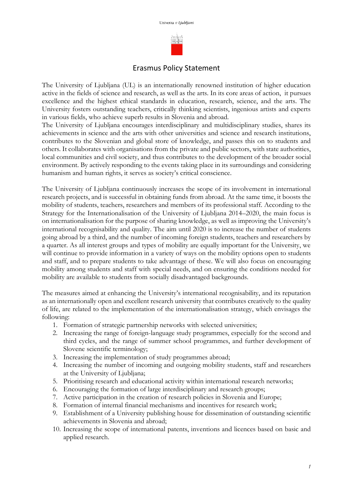

## Erasmus Policy Statement

The University of Ljubljana (UL) is an internationally renowned institution of higher education active in the fields of science and research, as well as the arts. In its core areas of action, it pursues excellence and the highest ethical standards in education, research, science, and the arts. The University fosters outstanding teachers, critically thinking scientists, ingenious artists and experts in various fields, who achieve superb results in Slovenia and abroad.

The University of Ljubljana encourages interdisciplinary and multidisciplinary studies, shares its achievements in science and the arts with other universities and science and research institutions, contributes to the Slovenian and global store of knowledge, and passes this on to students and others. It collaborates with organisations from the private and public sectors, with state authorities, local communities and civil society, and thus contributes to the development of the broader social environment. By actively responding to the events taking place in its surroundings and considering humanism and human rights, it serves as society's critical conscience.

The University of Ljubljana continuously increases the scope of its involvement in international research projects, and is successful in obtaining funds from abroad. At the same time, it boosts the mobility of students, teachers, researchers and members of its professional staff. According to the Strategy for the Internationalisation of the University of Ljubljana 2014–2020, the main focus is on internationalisation for the purpose of sharing knowledge, as well as improving the University's international recognisability and quality. The aim until 2020 is to increase the number of students going abroad by a third, and the number of incoming foreign students, teachers and researchers by a quarter. As all interest groups and types of mobility are equally important for the University, we will continue to provide information in a variety of ways on the mobility options open to students and staff, and to prepare students to take advantage of these. We will also focus on encouraging mobility among students and staff with special needs, and on ensuring the conditions needed for mobility are available to students from socially disadvantaged backgrounds.

The measures aimed at enhancing the University's international recognisability, and its reputation as an internationally open and excellent research university that contributes creatively to the quality of life, are related to the implementation of the internationalisation strategy, which envisages the following:

- 1. Formation of strategic partnership networks with selected universities;
- 2. Increasing the range of foreign-language study programmes, especially for the second and third cycles, and the range of summer school programmes, and further development of Slovene scientific terminology;
- 3. Increasing the implementation of study programmes abroad;
- 4. Increasing the number of incoming and outgoing mobility students, staff and researchers at the University of Ljubljana;
- 5. Prioritising research and educational activity within international research networks;
- 6. Encouraging the formation of large interdisciplinary and research groups;
- 7. Active participation in the creation of research policies in Slovenia and Europe;
- 8. Formation of internal financial mechanisms and incentives for research work;
- 9. Establishment of a University publishing house for dissemination of outstanding scientific achievements in Slovenia and abroad;
- 10. Increasing the scope of international patents, inventions and licences based on basic and applied research.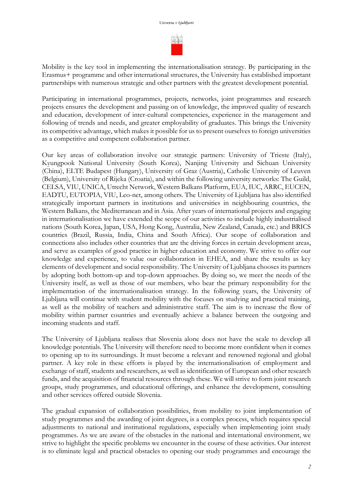sinalis

Mobility is the key tool in implementing the internationalisation strategy. By participating in the Erasmus+ programme and other international structures, the University has established important partnerships with numerous strategic and other partners with the greatest development potential.

Participating in international programmes, projects, networks, joint programmes and research projects ensures the development and passing on of knowledge, the improved quality of research and education, development of inter-cultural competencies, experience in the management and following of trends and needs, and greater employability of graduates. This brings the University its competitive advantage, which makes it possible for us to present ourselves to foreign universities as a competitive and competent collaboration partner.

Our key areas of collaboration involve our strategic partners: University of Trieste (Italy), Kyungpook National University (South Korea), Nanjing University and Sichuan University (China), ELTE Budapest (Hungary), University of Graz (Austria), Catholic University of Leuven (Belgium), University of Rijeka (Croatia), and within the following university networks: The Guild, CELSA, VIU, UNICA, Utrecht Network, Western Balkans Platform, EUA, IUC, ARRC, EUCEN, EADTU, EUTOPIA, VIU, Leo-net, among others. The University of Ljubljana has also identified strategically important partners in institutions and universities in neighbouring countries, the Western Balkans, the Mediterranean and in Asia. After years of international projects and engaging in internationalisation we have extended the scope of our activities to include highly industrialised nations (South Korea, Japan, USA, Hong Kong, Australia, New Zealand, Canada, etc.) and BRICS countries (Brazil, Russia, India, China and South Africa). Our scope of collaboration and connections also includes other countries that are the driving forces in certain development areas, and serve as examples of good practice in higher education and economy. We strive to offer our knowledge and experience, to value our collaboration in EHEA, and share the results as key elements of development and social responsibility. The University of Ljubljana chooses its partners by adopting both bottom-up and top-down approaches. By doing so, we meet the needs of the University itself, as well as those of our members, who bear the primary responsibility for the implementation of the internationalisation strategy. In the following years, the University of Ljubljana will continue with student mobility with the focuses on studying and practical training, as well as the mobility of teachers and administrative staff. The aim is to increase the flow of mobility within partner countries and eventually achieve a balance between the outgoing and incoming students and staff.

The University of Ljubljana realises that Slovenia alone does not have the scale to develop all knowledge potentials. The University will therefore need to become more confident when it comes to opening up to its surroundings. It must become a relevant and renowned regional and global partner. A key role in these efforts is played by the internationalisation of employment and exchange of staff, students and researchers, as well as identification of European and other research funds, and the acquisition of financial resources through these. We will strive to form joint research groups, study programmes, and educational offerings, and enhance the development, consulting and other services offered outside Slovenia.

The gradual expansion of collaboration possibilities, from mobility to joint implementation of study programmes and the awarding of joint degrees, is a complex process, which requires special adjustments to national and institutional regulations, especially when implementing joint study programmes. As we are aware of the obstacles in the national and international environment, we strive to highlight the specific problems we encounter in the course of these activities. Our interest is to eliminate legal and practical obstacles to opening our study programmes and encourage the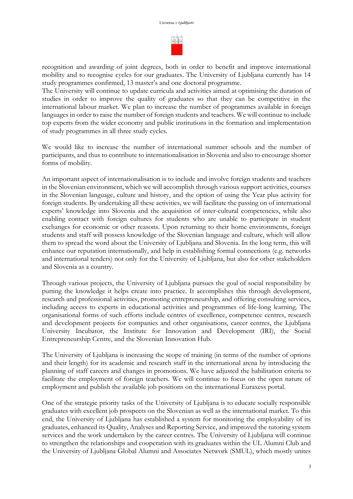

recognition and awarding of joint degrees, both in order to benefit and improve international mobility and to recognise cycles for our graduates. The University of Ljubljana currently has 14 study programmes confirmed, 13 master's and one doctoral programme.

The University will continue to update curricula and activities aimed at optimising the duration of studies in order to improve the quality of graduates so that they can be competitive in the international labour market. We plan to increase the number of programmes available in foreign languages in order to raise the number of foreign students and teachers. We will continue to include top experts from the wider economy and public institutions in the formation and implementation of study programmes in all three study cycles.

We would like to increase the number of international summer schools and the number of participants, and thus to contribute to internationalisation in Slovenia and also to encourage shorter forms of mobility.

An important aspect of internationalisation is to include and involve foreign students and teachers in the Slovenian environment, which we will accomplish through various support activities, courses in the Slovenian language, culture and history, and the option of using the Year plus activity for foreign students. By undertaking all these activities, we will facilitate the passing on of international experts' knowledge into Slovenia and the acquisition of inter-cultural competencies, while also enabling contact with foreign cultures for students who are unable to participate in student exchanges for economic or other reasons. Upon returning to their home environments, foreign students and staff will possess knowledge of the Slovenian language and culture, which will allow them to spread the word about the University of Ljubljana and Slovenia. In the long term, this will enhance our reputation internationally, and help in establishing formal connections (e.g. networks and international tenders) not only for the University of Ljubljana, but also for other stakeholders and Slovenia as a country.

Through various projects, the University of Ljubljana pursues the goal of social responsibility by putting the knowledge it helps create into practice. It accomplishes this through development, research and professional activities, promoting entrepreneurship, and offering consulting services, including access to experts in educational activities and programmes of life-long learning. The organisational forms of such efforts include centres of excellence, competence centres, research and development projects for companies and other organisations, career centres, the Ljubljana University Incubator, the Institute for Innovation and Development (IRI), the Social Entrepreneurship Centre, and the Slovenian Innovation Hub.

The University of Ljubljana is increasing the scope of training (in terms of the number of options and their length) for its academic and research staff in the international arena by introducing the planning of staff careers and changes in promotions. We have adjusted the habilitation criteria to facilitate the employment of foreign teachers. We will continue to focus on the open nature of employment and publish the available job positions on the international Euraxess portal.

One of the strategic priority tasks of the University of Ljubljana is to educate socially responsible graduates with excellent job prospects on the Slovenian as well as the international market. To this end, the University of Ljubljana has established a system for monitoring the employability of its graduates, enhanced its Quality, Analyses and Reporting Service, and improved the tutoring system services and the work undertaken by the career centres. The University of Ljubljana will continue to strengthen the relationships and cooperation with its graduates within the UL Alumni Club and the University of Ljubljana Global Alumni and Associates Network (SMUL), which mostly unites